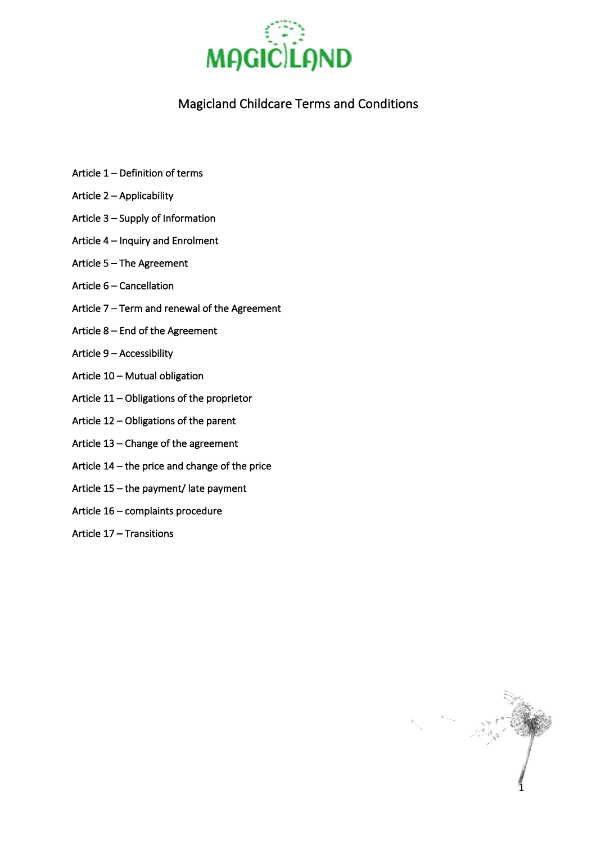

# Magicland Childcare Terms and Conditions

- Article 1 Definition of terms
- Article 2 Applicability
- Article 3 Supply of Information
- Article 4 Inquiry and Enrolment
- Article 5 The Agreement
- Article 6 Cancellation
- Article 7 Term and renewal of the Agreement
- Article 8 End of the Agreement
- Article 9 Accessibility
- Article 10 Mutual obligation
- Article 11 Obligations of the proprietor
- Article 12 Obligations of the parent
- Article 13 Change of the agreement
- Article 14 the price and change of the price
- Article 15 the payment/ late payment
- Article 16 complaints procedure
- Article 17 Transitions

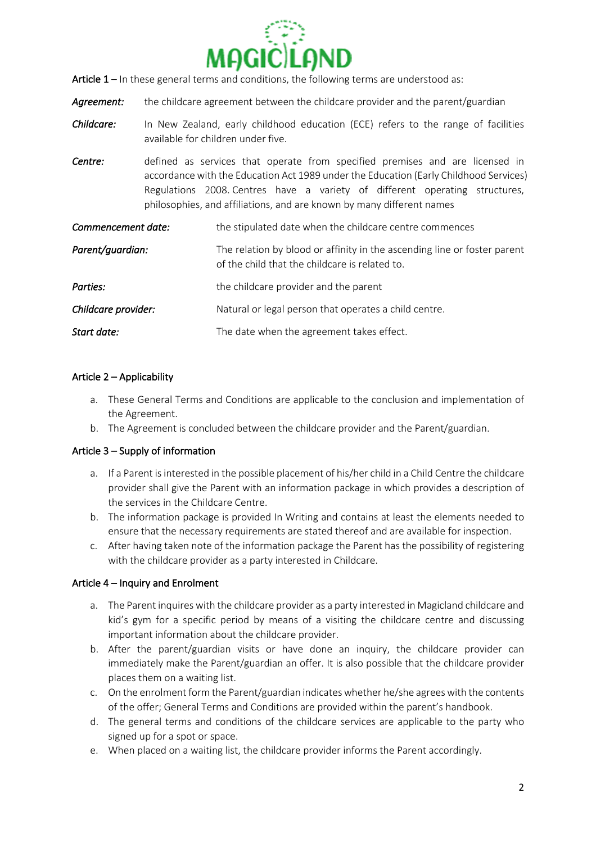

- Article 1 In these general terms and conditions, the following terms are understood as:
- Agreement: the childcare agreement between the childcare provider and the parent/guardian
- *Childcare:* In New Zealand, early childhood education (ECE) refers to the range of facilities available for children under five.
- **Centre:** defined as services that operate from specified premises and are licensed in accordance with the Education Act 1989 under the Education (Early Childhood Services) Regulations 2008. Centres have a variety of different operating structures, philosophies, and affiliations, and are known by many different names

| Commencement date:  | the stipulated date when the childcare centre commences                                                                    |
|---------------------|----------------------------------------------------------------------------------------------------------------------------|
| Parent/guardian:    | The relation by blood or affinity in the ascending line or foster parent<br>of the child that the childcare is related to. |
| Parties:            | the childcare provider and the parent                                                                                      |
| Childcare provider: | Natural or legal person that operates a child centre.                                                                      |
| Start date:         | The date when the agreement takes effect.                                                                                  |

# Article 2 – Applicability

- a. These General Terms and Conditions are applicable to the conclusion and implementation of the Agreement.
- b. The Agreement is concluded between the childcare provider and the Parent/guardian.

### Article 3 – Supply of information

- a. If a Parent is interested in the possible placement of his/her child in a Child Centre the childcare provider shall give the Parent with an information package in which provides a description of the services in the Childcare Centre.
- b. The information package is provided In Writing and contains at least the elements needed to ensure that the necessary requirements are stated thereof and are available for inspection.
- c. After having taken note of the information package the Parent has the possibility of registering with the childcare provider as a party interested in Childcare.

### Article 4 – Inquiry and Enrolment

- a. The Parent inquires with the childcare provider as a party interested in Magicland childcare and kid's gym for a specific period by means of a visiting the childcare centre and discussing important information about the childcare provider.
- b. After the parent/guardian visits or have done an inquiry, the childcare provider can immediately make the Parent/guardian an offer. It is also possible that the childcare provider places them on a waiting list.
- c. On the enrolment form the Parent/guardian indicates whether he/she agrees with the contents of the offer; General Terms and Conditions are provided within the parent's handbook.
- d. The general terms and conditions of the childcare services are applicable to the party who signed up for a spot or space.
- e. When placed on a waiting list, the childcare provider informs the Parent accordingly.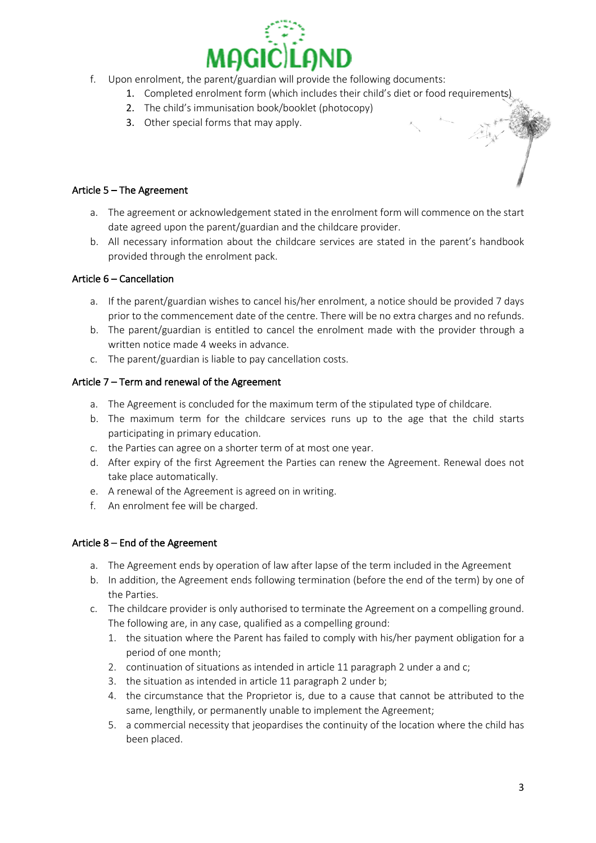

- f. Upon enrolment, the parent/guardian will provide the following documents:
	- 1. Completed enrolment form (which includes their child's diet or food requirements)
	- 2. The child's immunisation book/booklet (photocopy)
	- 3. Other special forms that may apply.

## Article 5 – The Agreement

- a. The agreement or acknowledgement stated in the enrolment form will commence on the start date agreed upon the parent/guardian and the childcare provider.
- b. All necessary information about the childcare services are stated in the parent's handbook provided through the enrolment pack.

## Article 6 – Cancellation

- a. If the parent/guardian wishes to cancel his/her enrolment, a notice should be provided 7 days prior to the commencement date of the centre. There will be no extra charges and no refunds.
- b. The parent/guardian is entitled to cancel the enrolment made with the provider through a written notice made 4 weeks in advance.
- c. The parent/guardian is liable to pay cancellation costs.

## Article 7 – Term and renewal of the Agreement

- a. The Agreement is concluded for the maximum term of the stipulated type of childcare.
- b. The maximum term for the childcare services runs up to the age that the child starts participating in primary education.
- c. the Parties can agree on a shorter term of at most one year.
- d. After expiry of the first Agreement the Parties can renew the Agreement. Renewal does not take place automatically.
- e. A renewal of the Agreement is agreed on in writing.
- f. An enrolment fee will be charged.

### Article 8 – End of the Agreement

- a. The Agreement ends by operation of law after lapse of the term included in the Agreement
- b. In addition, the Agreement ends following termination (before the end of the term) by one of the Parties.
- c. The childcare provider is only authorised to terminate the Agreement on a compelling ground. The following are, in any case, qualified as a compelling ground:
	- 1. the situation where the Parent has failed to comply with his/her payment obligation for a period of one month;
	- 2. continuation of situations as intended in article 11 paragraph 2 under a and c;
	- 3. the situation as intended in article 11 paragraph 2 under b;
	- 4. the circumstance that the Proprietor is, due to a cause that cannot be attributed to the same, lengthily, or permanently unable to implement the Agreement;
	- 5. a commercial necessity that jeopardises the continuity of the location where the child has been placed.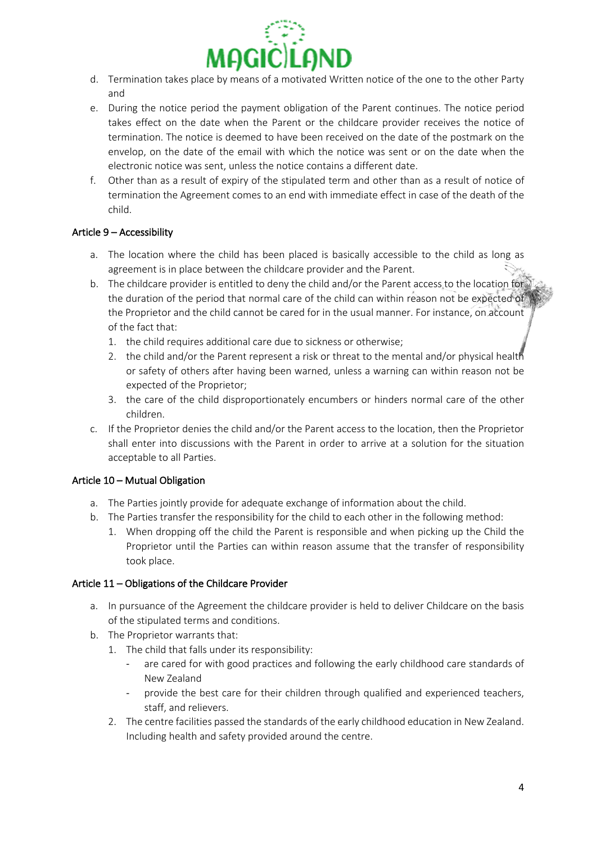

- d. Termination takes place by means of a motivated Written notice of the one to the other Party and
- e. During the notice period the payment obligation of the Parent continues. The notice period takes effect on the date when the Parent or the childcare provider receives the notice of termination. The notice is deemed to have been received on the date of the postmark on the envelop, on the date of the email with which the notice was sent or on the date when the electronic notice was sent, unless the notice contains a different date.
- f. Other than as a result of expiry of the stipulated term and other than as a result of notice of termination the Agreement comes to an end with immediate effect in case of the death of the child.

# Article 9 – Accessibility

- a. The location where the child has been placed is basically accessible to the child as long as agreement is in place between the childcare provider and the Parent.
- b. The childcare provider is entitled to deny the child and/or the Parent access to the location for the duration of the period that normal care of the child can within reason not be expected of the Proprietor and the child cannot be cared for in the usual manner. For instance, on account of the fact that:
	- 1. the child requires additional care due to sickness or otherwise;
	- 2. the child and/or the Parent represent a risk or threat to the mental and/or physical health or safety of others after having been warned, unless a warning can within reason not be expected of the Proprietor;
	- 3. the care of the child disproportionately encumbers or hinders normal care of the other children.
- c. If the Proprietor denies the child and/or the Parent access to the location, then the Proprietor shall enter into discussions with the Parent in order to arrive at a solution for the situation acceptable to all Parties.

# Article 10 – Mutual Obligation

- a. The Parties jointly provide for adequate exchange of information about the child.
- b. The Parties transfer the responsibility for the child to each other in the following method:
	- 1. When dropping off the child the Parent is responsible and when picking up the Child the Proprietor until the Parties can within reason assume that the transfer of responsibility took place.

### Article 11 – Obligations of the Childcare Provider

- a. In pursuance of the Agreement the childcare provider is held to deliver Childcare on the basis of the stipulated terms and conditions.
- b. The Proprietor warrants that:
	- 1. The child that falls under its responsibility:
		- are cared for with good practices and following the early childhood care standards of New Zealand
		- provide the best care for their children through qualified and experienced teachers, staff, and relievers.
	- 2. The centre facilities passed the standards of the early childhood education in New Zealand. Including health and safety provided around the centre.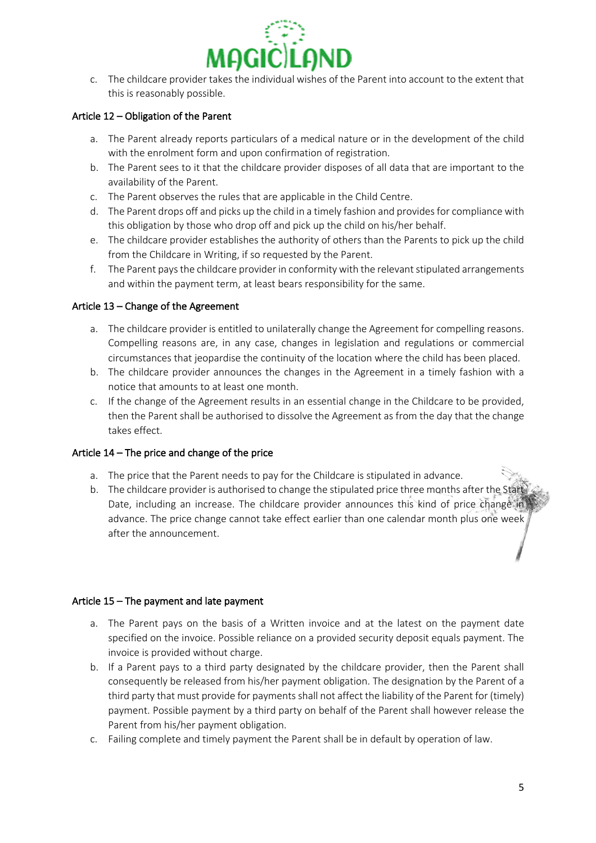

c. The childcare provider takes the individual wishes of the Parent into account to the extent that this is reasonably possible.

## Article 12 – Obligation of the Parent

- a. The Parent already reports particulars of a medical nature or in the development of the child with the enrolment form and upon confirmation of registration.
- b. The Parent sees to it that the childcare provider disposes of all data that are important to the availability of the Parent.
- c. The Parent observes the rules that are applicable in the Child Centre.
- d. The Parent drops off and picks up the child in a timely fashion and provides for compliance with this obligation by those who drop off and pick up the child on his/her behalf.
- e. The childcare provider establishes the authority of others than the Parents to pick up the child from the Childcare in Writing, if so requested by the Parent.
- f. The Parent pays the childcare provider in conformity with the relevant stipulated arrangements and within the payment term, at least bears responsibility for the same.

## Article 13 – Change of the Agreement

- a. The childcare provider is entitled to unilaterally change the Agreement for compelling reasons. Compelling reasons are, in any case, changes in legislation and regulations or commercial circumstances that jeopardise the continuity of the location where the child has been placed.
- b. The childcare provider announces the changes in the Agreement in a timely fashion with a notice that amounts to at least one month.
- c. If the change of the Agreement results in an essential change in the Childcare to be provided, then the Parent shall be authorised to dissolve the Agreement as from the day that the change takes effect.

### Article 14 – The price and change of the price

- a. The price that the Parent needs to pay for the Childcare is stipulated in advance.
- b. The childcare provider is authorised to change the stipulated price three months after the Start Date, including an increase. The childcare provider announces this kind of price change in advance. The price change cannot take effect earlier than one calendar month plus one week after the announcement.

### Article 15 – The payment and late payment

- a. The Parent pays on the basis of a Written invoice and at the latest on the payment date specified on the invoice. Possible reliance on a provided security deposit equals payment. The invoice is provided without charge.
- b. If a Parent pays to a third party designated by the childcare provider, then the Parent shall consequently be released from his/her payment obligation. The designation by the Parent of a third party that must provide for payments shall not affect the liability of the Parent for (timely) payment. Possible payment by a third party on behalf of the Parent shall however release the Parent from his/her payment obligation.
- c. Failing complete and timely payment the Parent shall be in default by operation of law.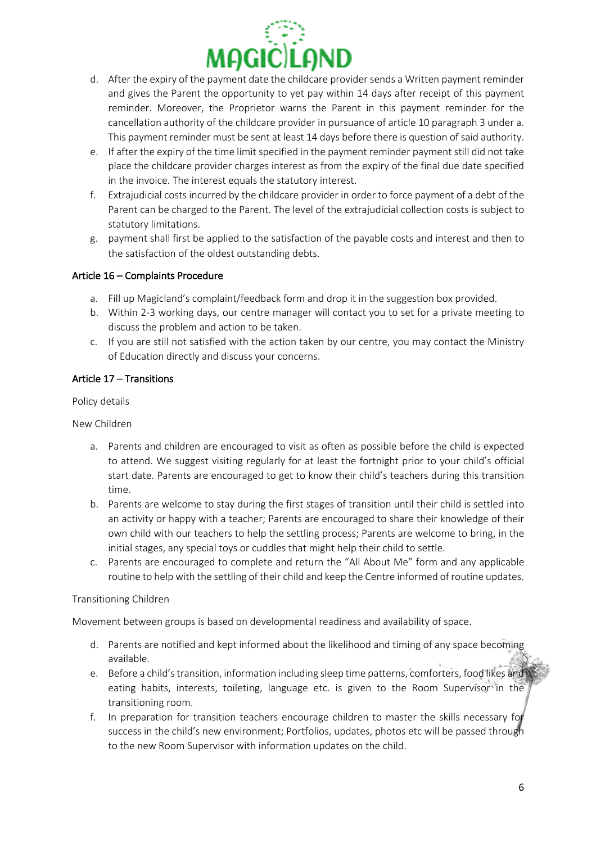

- d. After the expiry of the payment date the childcare provider sends a Written payment reminder and gives the Parent the opportunity to yet pay within 14 days after receipt of this payment reminder. Moreover, the Proprietor warns the Parent in this payment reminder for the cancellation authority of the childcare provider in pursuance of article 10 paragraph 3 under a. This payment reminder must be sent at least 14 days before there is question of said authority.
- e. If after the expiry of the time limit specified in the payment reminder payment still did not take place the childcare provider charges interest as from the expiry of the final due date specified in the invoice. The interest equals the statutory interest.
- f. Extrajudicial costs incurred by the childcare provider in order to force payment of a debt of the Parent can be charged to the Parent. The level of the extrajudicial collection costs is subject to statutory limitations.
- g. payment shall first be applied to the satisfaction of the payable costs and interest and then to the satisfaction of the oldest outstanding debts.

# Article 16 – Complaints Procedure

- a. Fill up Magicland's complaint/feedback form and drop it in the suggestion box provided.
- b. Within 2-3 working days, our centre manager will contact you to set for a private meeting to discuss the problem and action to be taken.
- c. If you are still not satisfied with the action taken by our centre, you may contact the Ministry of Education directly and discuss your concerns.

# Article 17 – Transitions

Policy details

New Children

- a. Parents and children are encouraged to visit as often as possible before the child is expected to attend. We suggest visiting regularly for at least the fortnight prior to your child's official start date. Parents are encouraged to get to know their child's teachers during this transition time.
- b. Parents are welcome to stay during the first stages of transition until their child is settled into an activity or happy with a teacher; Parents are encouraged to share their knowledge of their own child with our teachers to help the settling process; Parents are welcome to bring, in the initial stages, any special toys or cuddles that might help their child to settle.
- c. Parents are encouraged to complete and return the "All About Me" form and any applicable routine to help with the settling of their child and keep the Centre informed of routine updates.

### Transitioning Children

Movement between groups is based on developmental readiness and availability of space.

- d. Parents are notified and kept informed about the likelihood and timing of any space becoming available.
- e. Before a child's transition, information including sleep time patterns, comforters, food likes and eating habits, interests, toileting, language etc. is given to the Room Supervisor in the transitioning room.
- f. In preparation for transition teachers encourage children to master the skills necessary for success in the child's new environment; Portfolios, updates, photos etc will be passed through to the new Room Supervisor with information updates on the child.